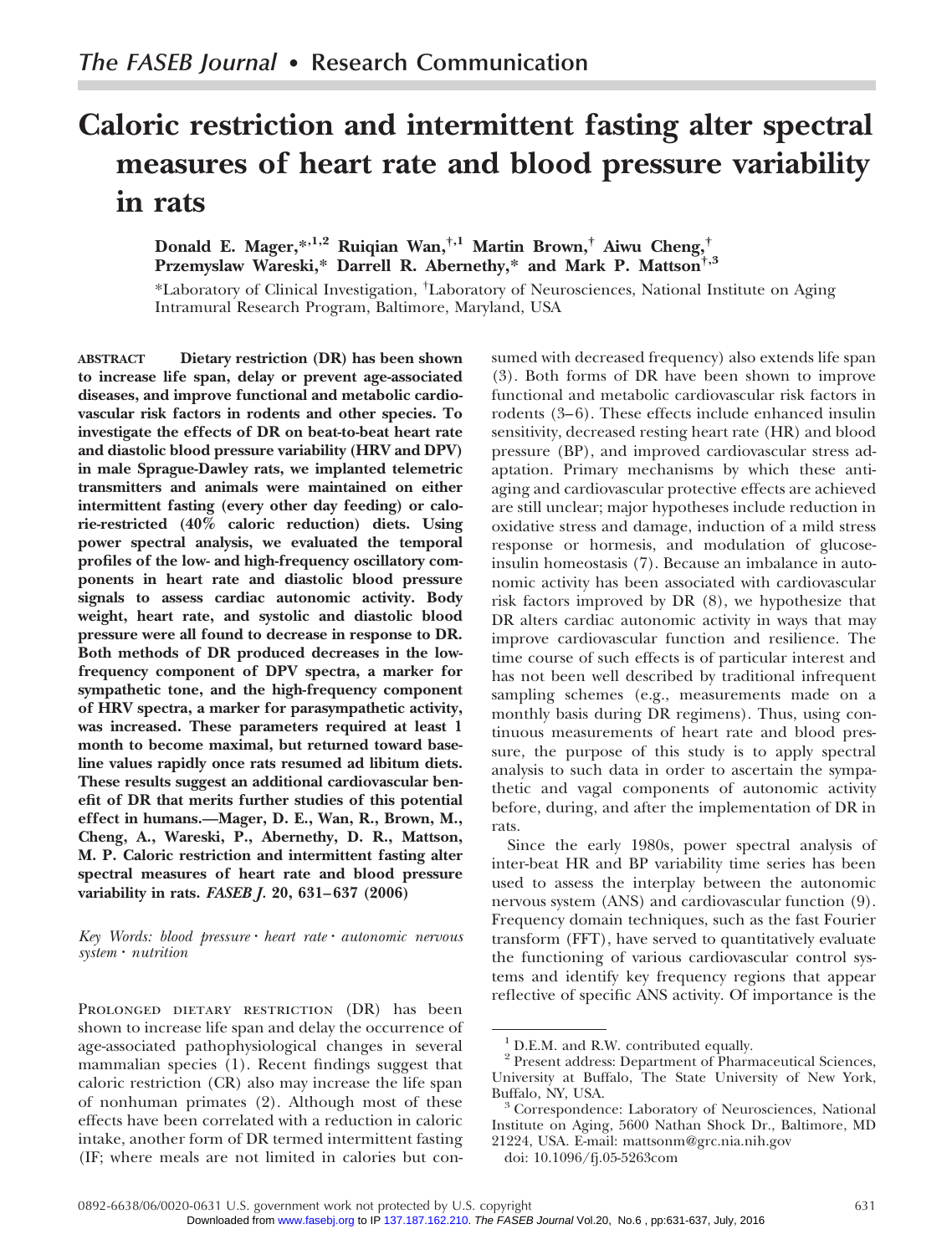# **Caloric restriction and intermittent fasting alter spectral measures of heart rate and blood pressure variability in rats**

**Donald E. Mager,\*,1,2 Ruiqian Wan,†,1 Martin Brown,† Aiwu Cheng,† Przemyslaw Wareski,\* Darrell R. Abernethy,\* and Mark P. Mattson†,3**

\*Laboratory of Clinical Investigation, † Laboratory of Neurosciences, National Institute on Aging Intramural Research Program, Baltimore, Maryland, USA

**ABSTRACT Dietary restriction (DR) has been shown to increase life span, delay or prevent age-associated diseases, and improve functional and metabolic cardiovascular risk factors in rodents and other species. To investigate the effects of DR on beat-to-beat heart rate and diastolic blood pressure variability (HRV and DPV) in male Sprague-Dawley rats, we implanted telemetric transmitters and animals were maintained on either intermittent fasting (every other day feeding) or calorie-restricted (40% caloric reduction) diets. Using power spectral analysis, we evaluated the temporal profiles of the low- and high-frequency oscillatory components in heart rate and diastolic blood pressure signals to assess cardiac autonomic activity. Body weight, heart rate, and systolic and diastolic blood pressure were all found to decrease in response to DR. Both methods of DR produced decreases in the lowfrequency component of DPV spectra, a marker for sympathetic tone, and the high-frequency component of HRV spectra, a marker for parasympathetic activity, was increased. These parameters required at least 1 month to become maximal, but returned toward baseline values rapidly once rats resumed ad libitum diets. These results suggest an additional cardiovascular benefit of DR that merits further studies of this potential effect in humans.—Mager, D. E., Wan, R., Brown, M., Cheng, A., Wareski, P., Abernethy, D. R., Mattson, M. P. Caloric restriction and intermittent fasting alter spectral measures of heart rate and blood pressure variability in rats.** *FASEB J.* **20, 631–637 (2006)**

*Key Words: blood pressure heart rate autonomic nervous system nutrition*

PROLONGED DIETARY RESTRICTION (DR) has been shown to increase life span and delay the occurrence of age-associated pathophysiological changes in several mammalian species (1). Recent findings suggest that caloric restriction (CR) also may increase the life span of nonhuman primates (2). Although most of these effects have been correlated with a reduction in caloric intake, another form of DR termed intermittent fasting (IF; where meals are not limited in calories but consumed with decreased frequency) also extends life span (3). Both forms of DR have been shown to improve functional and metabolic cardiovascular risk factors in rodents (3–6). These effects include enhanced insulin sensitivity, decreased resting heart rate (HR) and blood pressure (BP), and improved cardiovascular stress adaptation. Primary mechanisms by which these antiaging and cardiovascular protective effects are achieved are still unclear; major hypotheses include reduction in oxidative stress and damage, induction of a mild stress response or hormesis, and modulation of glucoseinsulin homeostasis (7). Because an imbalance in autonomic activity has been associated with cardiovascular risk factors improved by DR (8), we hypothesize that DR alters cardiac autonomic activity in ways that may improve cardiovascular function and resilience. The time course of such effects is of particular interest and has not been well described by traditional infrequent sampling schemes (e.g., measurements made on a monthly basis during DR regimens). Thus, using continuous measurements of heart rate and blood pressure, the purpose of this study is to apply spectral analysis to such data in order to ascertain the sympathetic and vagal components of autonomic activity before, during, and after the implementation of DR in rats.

Since the early 1980s, power spectral analysis of inter-beat HR and BP variability time series has been used to assess the interplay between the autonomic nervous system (ANS) and cardiovascular function (9). Frequency domain techniques, such as the fast Fourier transform (FFT), have served to quantitatively evaluate the functioning of various cardiovascular control systems and identify key frequency regions that appear reflective of specific ANS activity. Of importance is the

doi: 10.1096/fj.05-5263com

<sup>&</sup>lt;sup>1</sup> D.E.M. and R.W. contributed equally.

<sup>2</sup> Present address: Department of Pharmaceutical Sciences, University at Buffalo, The State University of New York,

<sup>&</sup>lt;sup>3</sup> Correspondence: Laboratory of Neurosciences, National Institute on Aging, 5600 Nathan Shock Dr., Baltimore, MD 21224, USA. E-mail: mattsonm@grc.nia.nih.gov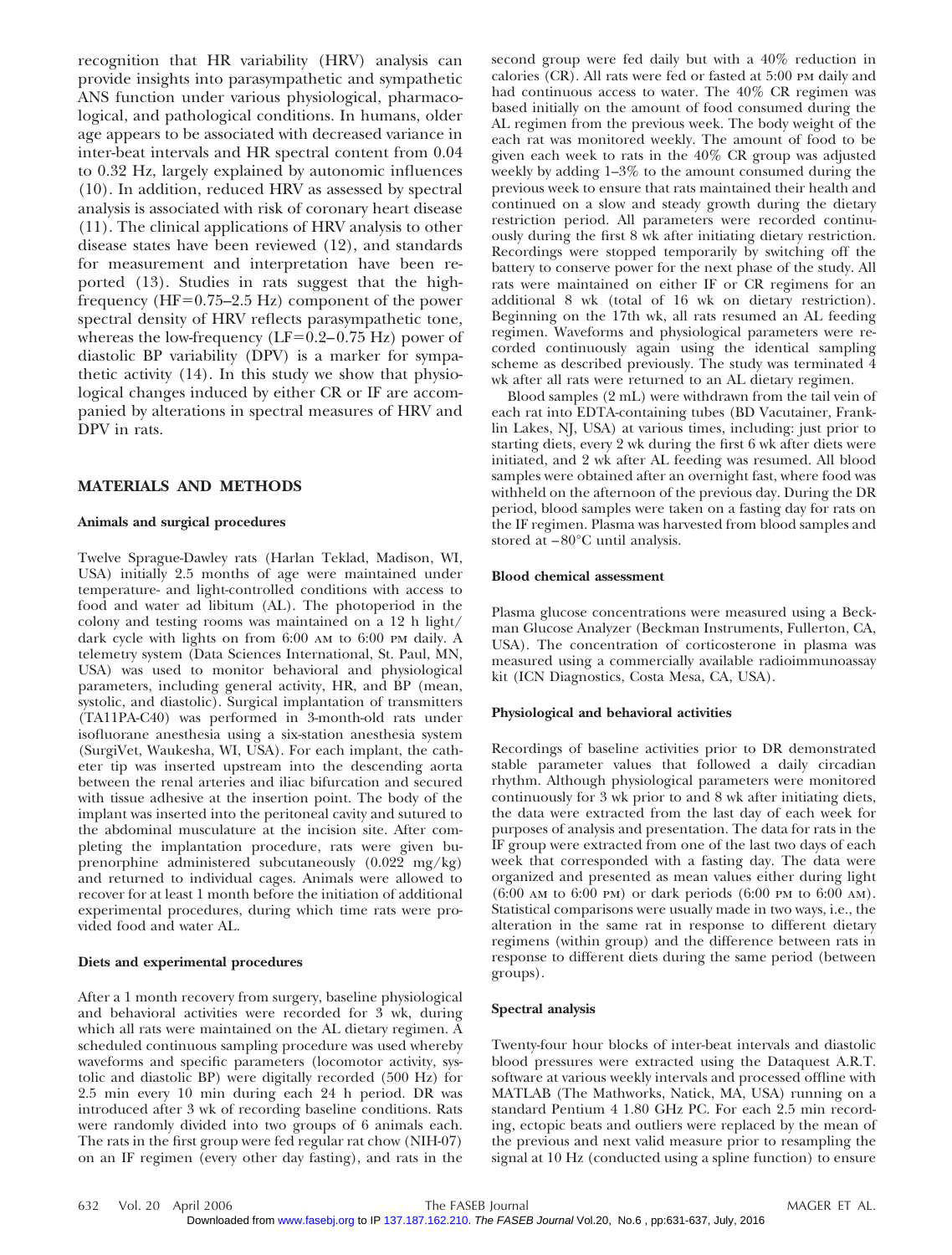recognition that HR variability (HRV) analysis can provide insights into parasympathetic and sympathetic ANS function under various physiological, pharmacological, and pathological conditions. In humans, older age appears to be associated with decreased variance in inter-beat intervals and HR spectral content from 0.04 to 0.32 Hz, largely explained by autonomic influences (10). In addition, reduced HRV as assessed by spectral analysis is associated with risk of coronary heart disease (11). The clinical applications of HRV analysis to other disease states have been reviewed (12), and standards for measurement and interpretation have been reported (13). Studies in rats suggest that the highfrequency ( $HF=0.75-2.5$  Hz) component of the power spectral density of HRV reflects parasympathetic tone, whereas the low-frequency ( $LF=0.2-0.75$  Hz) power of diastolic BP variability (DPV) is a marker for sympathetic activity (14). In this study we show that physiological changes induced by either CR or IF are accompanied by alterations in spectral measures of HRV and DPV in rats.

# **MATERIALS AND METHODS**

# **Animals and surgical procedures**

Twelve Sprague-Dawley rats (Harlan Teklad, Madison, WI, USA) initially 2.5 months of age were maintained under temperature- and light-controlled conditions with access to food and water ad libitum (AL). The photoperiod in the colony and testing rooms was maintained on a 12 h light/ dark cycle with lights on from 6:00 am to 6:00 pm daily. A telemetry system (Data Sciences International, St. Paul, MN, USA) was used to monitor behavioral and physiological parameters, including general activity, HR, and BP (mean, systolic, and diastolic). Surgical implantation of transmitters (TA11PA-C40) was performed in 3-month-old rats under isofluorane anesthesia using a six-station anesthesia system (SurgiVet, Waukesha, WI, USA). For each implant, the catheter tip was inserted upstream into the descending aorta between the renal arteries and iliac bifurcation and secured with tissue adhesive at the insertion point. The body of the implant was inserted into the peritoneal cavity and sutured to the abdominal musculature at the incision site. After completing the implantation procedure, rats were given buprenorphine administered subcutaneously (0.022 mg/kg) and returned to individual cages. Animals were allowed to recover for at least 1 month before the initiation of additional experimental procedures, during which time rats were provided food and water AL.

### **Diets and experimental procedures**

After a 1 month recovery from surgery, baseline physiological and behavioral activities were recorded for 3 wk, during which all rats were maintained on the AL dietary regimen. A scheduled continuous sampling procedure was used whereby waveforms and specific parameters (locomotor activity, systolic and diastolic BP) were digitally recorded (500 Hz) for 2.5 min every 10 min during each 24 h period. DR was introduced after 3 wk of recording baseline conditions. Rats were randomly divided into two groups of 6 animals each. The rats in the first group were fed regular rat chow (NIH-07) on an IF regimen (every other day fasting), and rats in the

second group were fed daily but with a 40% reduction in calories (CR). All rats were fed or fasted at 5:00 pm daily and had continuous access to water. The 40% CR regimen was based initially on the amount of food consumed during the AL regimen from the previous week. The body weight of the each rat was monitored weekly. The amount of food to be given each week to rats in the 40% CR group was adjusted weekly by adding 1–3% to the amount consumed during the previous week to ensure that rats maintained their health and continued on a slow and steady growth during the dietary restriction period. All parameters were recorded continuously during the first 8 wk after initiating dietary restriction. Recordings were stopped temporarily by switching off the battery to conserve power for the next phase of the study. All rats were maintained on either IF or CR regimens for an additional 8 wk (total of 16 wk on dietary restriction). Beginning on the 17th wk, all rats resumed an AL feeding regimen. Waveforms and physiological parameters were recorded continuously again using the identical sampling scheme as described previously. The study was terminated 4 wk after all rats were returned to an AL dietary regimen.

Blood samples (2 mL) were withdrawn from the tail vein of each rat into EDTA-containing tubes (BD Vacutainer, Franklin Lakes, NJ, USA) at various times, including: just prior to starting diets, every 2 wk during the first 6 wk after diets were initiated, and 2 wk after AL feeding was resumed. All blood samples were obtained after an overnight fast, where food was withheld on the afternoon of the previous day. During the DR period, blood samples were taken on a fasting day for rats on the IF regimen. Plasma was harvested from blood samples and stored at –80°C until analysis.

# **Blood chemical assessment**

Plasma glucose concentrations were measured using a Beckman Glucose Analyzer (Beckman Instruments, Fullerton, CA, USA). The concentration of corticosterone in plasma was measured using a commercially available radioimmunoassay kit (ICN Diagnostics, Costa Mesa, CA, USA).

# **Physiological and behavioral activities**

Recordings of baseline activities prior to DR demonstrated stable parameter values that followed a daily circadian rhythm. Although physiological parameters were monitored continuously for 3 wk prior to and 8 wk after initiating diets, the data were extracted from the last day of each week for purposes of analysis and presentation. The data for rats in the IF group were extracted from one of the last two days of each week that corresponded with a fasting day. The data were organized and presented as mean values either during light (6:00 am to 6:00 pm) or dark periods (6:00 pm to 6:00 am). Statistical comparisons were usually made in two ways, i.e., the alteration in the same rat in response to different dietary regimens (within group) and the difference between rats in response to different diets during the same period (between groups).

# **Spectral analysis**

Twenty-four hour blocks of inter-beat intervals and diastolic blood pressures were extracted using the Dataquest A.R.T. software at various weekly intervals and processed offline with MATLAB (The Mathworks, Natick, MA, USA) running on a standard Pentium 4 1.80 GHz PC. For each 2.5 min recording, ectopic beats and outliers were replaced by the mean of the previous and next valid measure prior to resampling the signal at 10 Hz (conducted using a spline function) to ensure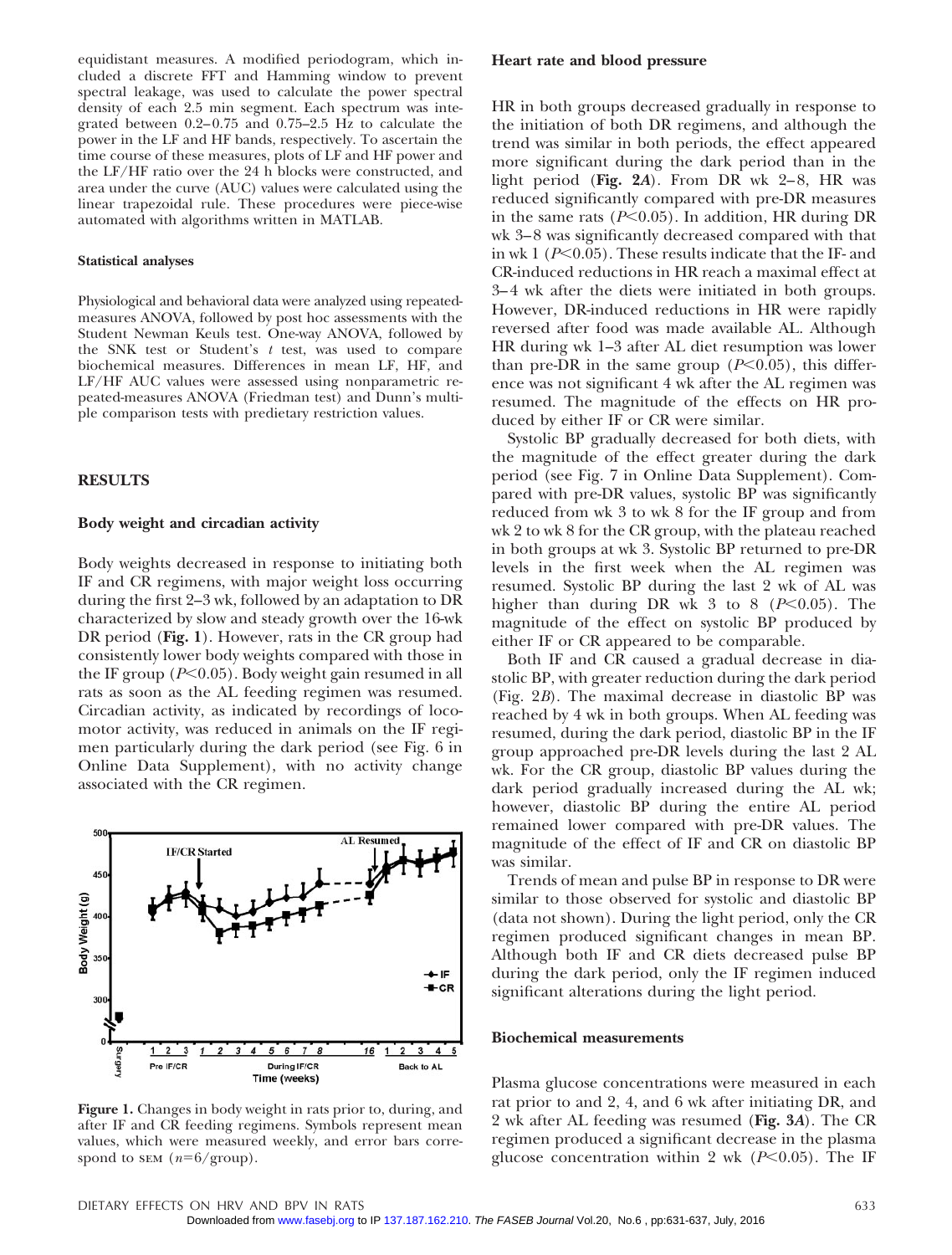equidistant measures. A modified periodogram, which included a discrete FFT and Hamming window to prevent spectral leakage, was used to calculate the power spectral density of each 2.5 min segment. Each spectrum was integrated between 0.2–0.75 and 0.75–2.5 Hz to calculate the power in the LF and HF bands, respectively. To ascertain the time course of these measures, plots of LF and HF power and the LF/HF ratio over the 24 h blocks were constructed, and area under the curve (AUC) values were calculated using the linear trapezoidal rule. These procedures were piece-wise automated with algorithms written in MATLAB.

#### **Statistical analyses**

Physiological and behavioral data were analyzed using repeatedmeasures ANOVA, followed by post hoc assessments with the Student Newman Keuls test. One-way ANOVA, followed by the SNK test or Student's *t* test, was used to compare biochemical measures. Differences in mean LF, HF, and LF/HF AUC values were assessed using nonparametric repeated-measures ANOVA (Friedman test) and Dunn's multiple comparison tests with predietary restriction values.

# **RESULTS**

# **Body weight and circadian activity**

Body weights decreased in response to initiating both IF and CR regimens, with major weight loss occurring during the first 2–3 wk, followed by an adaptation to DR characterized by slow and steady growth over the 16-wk DR period (**Fig. 1**). However, rats in the CR group had consistently lower body weights compared with those in the IF group (P<0.05). Body weight gain resumed in all rats as soon as the AL feeding regimen was resumed. Circadian activity, as indicated by recordings of locomotor activity, was reduced in animals on the IF regimen particularly during the dark period (see Fig. 6 in Online Data Supplement), with no activity change associated with the CR regimen.



**Figure 1.** Changes in body weight in rats prior to, during, and after IF and CR feeding regimens. Symbols represent mean values, which were measured weekly, and error bars correspond to sem  $(n=6/\text{group})$ .

#### **Heart rate and blood pressure**

HR in both groups decreased gradually in response to the initiation of both DR regimens, and although the trend was similar in both periods, the effect appeared more significant during the dark period than in the light period (**Fig. 2***A*). From DR wk 2–8, HR was reduced significantly compared with pre-DR measures in the same rats ( $P$ <0.05). In addition, HR during DR wk 3–8 was significantly decreased compared with that in wk 1 (*P*-0.05). These results indicate that the IF- and CR-induced reductions in HR reach a maximal effect at 3–4 wk after the diets were initiated in both groups. However, DR-induced reductions in HR were rapidly reversed after food was made available AL. Although HR during wk 1–3 after AL diet resumption was lower than pre-DR in the same group  $(P< 0.05)$ , this difference was not significant 4 wk after the AL regimen was resumed. The magnitude of the effects on HR produced by either IF or CR were similar.

Systolic BP gradually decreased for both diets, with the magnitude of the effect greater during the dark period (see Fig. 7 in Online Data Supplement). Compared with pre-DR values, systolic BP was significantly reduced from wk 3 to wk 8 for the IF group and from wk 2 to wk 8 for the CR group, with the plateau reached in both groups at wk 3. Systolic BP returned to pre-DR levels in the first week when the AL regimen was resumed. Systolic BP during the last 2 wk of AL was higher than during DR wk  $3$  to  $8$  ( $P<0.05$ ). The magnitude of the effect on systolic BP produced by either IF or CR appeared to be comparable.

Both IF and CR caused a gradual decrease in diastolic BP, with greater reduction during the dark period (Fig. 2*B*). The maximal decrease in diastolic BP was reached by 4 wk in both groups. When AL feeding was resumed, during the dark period, diastolic BP in the IF group approached pre-DR levels during the last 2 AL wk. For the CR group, diastolic BP values during the dark period gradually increased during the AL wk; however, diastolic BP during the entire AL period remained lower compared with pre-DR values. The magnitude of the effect of IF and CR on diastolic BP was similar.

Trends of mean and pulse BP in response to DR were similar to those observed for systolic and diastolic BP (data not shown). During the light period, only the CR regimen produced significant changes in mean BP. Although both IF and CR diets decreased pulse BP during the dark period, only the IF regimen induced significant alterations during the light period.

#### **Biochemical measurements**

Plasma glucose concentrations were measured in each rat prior to and 2, 4, and 6 wk after initiating DR, and 2 wk after AL feeding was resumed (**Fig. 3***A*). The CR regimen produced a significant decrease in the plasma glucose concentration within  $2$  wk ( $P< 0.05$ ). The IF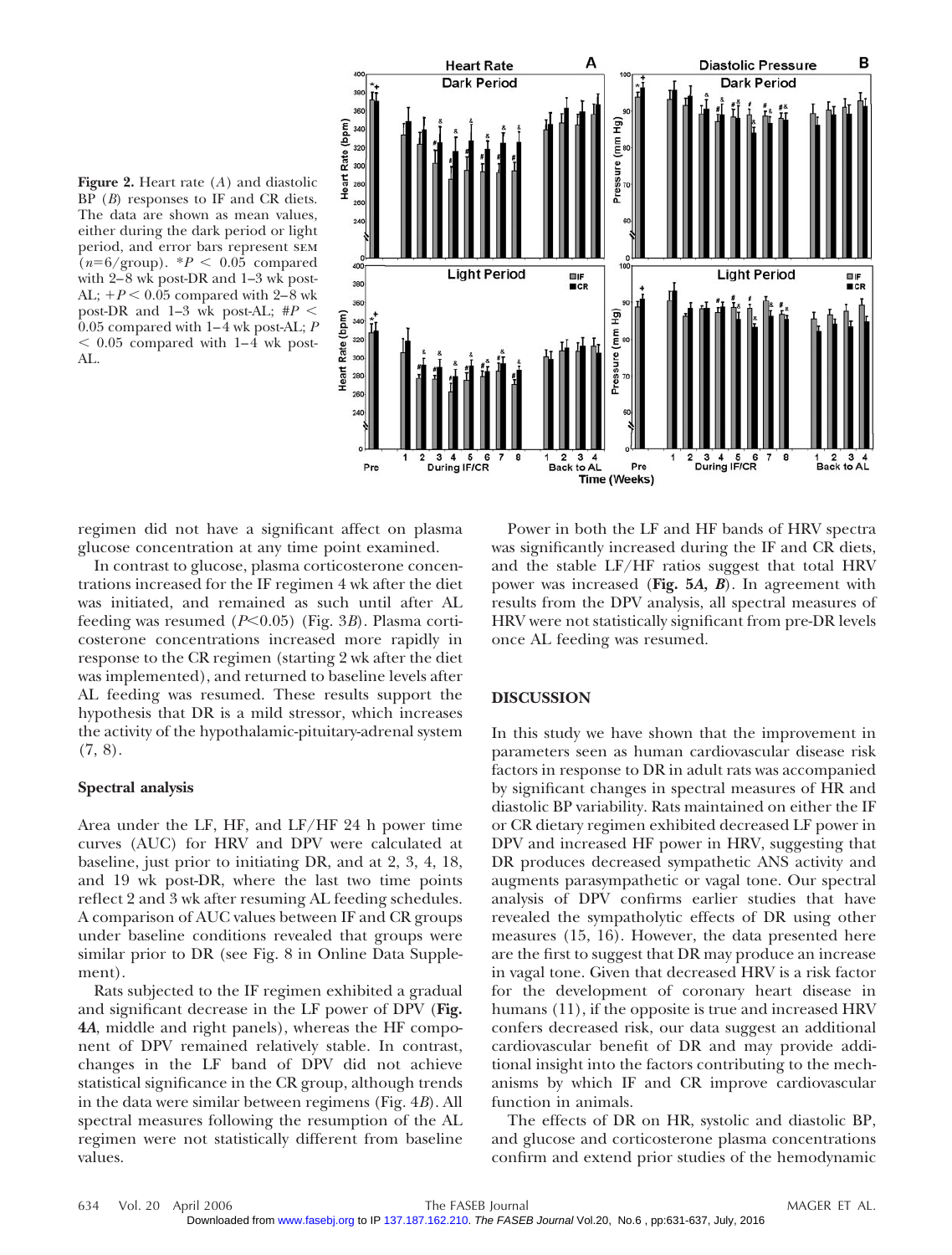**Figure 2.** Heart rate (*A*) and diastolic BP (*B*) responses to IF and CR diets. The data are shown as mean values, either during the dark period or light period, and error bars represent sem  $(n=6/\text{group})$ . \* $P < 0.05$  compared with 2–8 wk post-DR and 1–3 wk post-AL;  $+P$  < 0.05 compared with 2–8 wk post-DR and  $1-3$  wk post-AL;  $\#P$  < 0.05 compared with 1–4 wk post-AL; *P*  $< 0.05$  compared with  $1-4$  wk post-AL.



regimen did not have a significant affect on plasma glucose concentration at any time point examined.

In contrast to glucose, plasma corticosterone concentrations increased for the IF regimen 4 wk after the diet was initiated, and remained as such until after AL feeding was resumed ( $P$ <0.05) (Fig. 3*B*). Plasma corticosterone concentrations increased more rapidly in response to the CR regimen (starting 2 wk after the diet was implemented), and returned to baseline levels after AL feeding was resumed. These results support the hypothesis that DR is a mild stressor, which increases the activity of the hypothalamic-pituitary-adrenal system  $(7, 8)$ .

## **Spectral analysis**

Area under the LF, HF, and LF/HF 24 h power time curves (AUC) for HRV and DPV were calculated at baseline, just prior to initiating DR, and at 2, 3, 4, 18, and 19 wk post-DR, where the last two time points reflect 2 and 3 wk after resuming AL feeding schedules. A comparison of AUC values between IF and CR groups under baseline conditions revealed that groups were similar prior to DR (see Fig. 8 in Online Data Supplement).

Rats subjected to the IF regimen exhibited a gradual and significant decrease in the LF power of DPV (**Fig. 4***A*, middle and right panels), whereas the HF component of DPV remained relatively stable. In contrast, changes in the LF band of DPV did not achieve statistical significance in the CR group, although trends in the data were similar between regimens (Fig. 4*B*). All spectral measures following the resumption of the AL regimen were not statistically different from baseline values.

Power in both the LF and HF bands of HRV spectra was significantly increased during the IF and CR diets, and the stable LF/HF ratios suggest that total HRV power was increased (**Fig. 5***A, B*). In agreement with results from the DPV analysis, all spectral measures of HRV were not statistically significant from pre-DR levels once AL feeding was resumed.

### **DISCUSSION**

In this study we have shown that the improvement in parameters seen as human cardiovascular disease risk factors in response to DR in adult rats was accompanied by significant changes in spectral measures of HR and diastolic BP variability. Rats maintained on either the IF or CR dietary regimen exhibited decreased LF power in DPV and increased HF power in HRV, suggesting that DR produces decreased sympathetic ANS activity and augments parasympathetic or vagal tone. Our spectral analysis of DPV confirms earlier studies that have revealed the sympatholytic effects of DR using other measures (15, 16). However, the data presented here are the first to suggest that DR may produce an increase in vagal tone. Given that decreased HRV is a risk factor for the development of coronary heart disease in humans (11), if the opposite is true and increased HRV confers decreased risk, our data suggest an additional cardiovascular benefit of DR and may provide additional insight into the factors contributing to the mechanisms by which IF and CR improve cardiovascular function in animals.

The effects of DR on HR, systolic and diastolic BP, and glucose and corticosterone plasma concentrations confirm and extend prior studies of the hemodynamic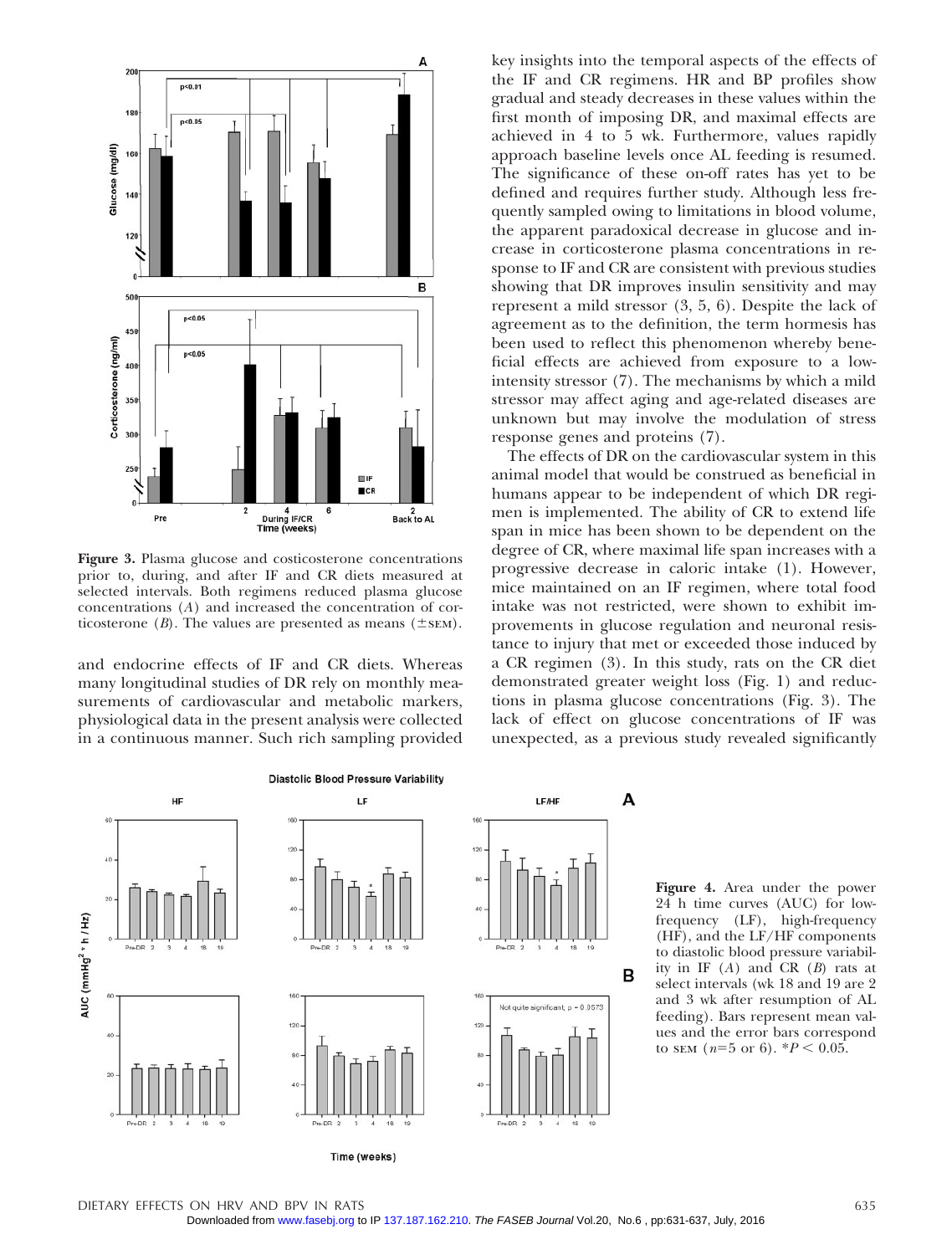

**Figure 3.** Plasma glucose and costicosterone concentrations prior to, during, and after IF and CR diets measured at selected intervals. Both regimens reduced plasma glucose concentrations (*A*) and increased the concentration of corticosterone (*B*). The values are presented as means ( $\pm$ SEM).

and endocrine effects of IF and CR diets. Whereas many longitudinal studies of DR rely on monthly measurements of cardiovascular and metabolic markers, physiological data in the present analysis were collected in a continuous manner. Such rich sampling provided

key insights into the temporal aspects of the effects of the IF and CR regimens. HR and BP profiles show gradual and steady decreases in these values within the first month of imposing DR, and maximal effects are achieved in 4 to 5 wk. Furthermore, values rapidly approach baseline levels once AL feeding is resumed. The significance of these on-off rates has yet to be defined and requires further study. Although less frequently sampled owing to limitations in blood volume, the apparent paradoxical decrease in glucose and increase in corticosterone plasma concentrations in response to IF and CR are consistent with previous studies showing that DR improves insulin sensitivity and may represent a mild stressor (3, 5, 6). Despite the lack of agreement as to the definition, the term hormesis has been used to reflect this phenomenon whereby beneficial effects are achieved from exposure to a lowintensity stressor (7). The mechanisms by which a mild stressor may affect aging and age-related diseases are unknown but may involve the modulation of stress response genes and proteins (7).

The effects of DR on the cardiovascular system in this animal model that would be construed as beneficial in humans appear to be independent of which DR regimen is implemented. The ability of CR to extend life span in mice has been shown to be dependent on the degree of CR, where maximal life span increases with a progressive decrease in caloric intake (1). However, mice maintained on an IF regimen, where total food intake was not restricted, were shown to exhibit improvements in glucose regulation and neuronal resistance to injury that met or exceeded those induced by a CR regimen (3). In this study, rats on the CR diet demonstrated greater weight loss (Fig. 1) and reductions in plasma glucose concentrations (Fig. 3). The lack of effect on glucose concentrations of IF was unexpected, as a previous study revealed significantly



**Figure 4.** Area under the power 24 h time curves (AUC) for lowfrequency (LF), high-frequency (HF), and the LF/HF components to diastolic blood pressure variability in IF (*A*) and CR (*B*) rats at select intervals (wk 18 and 19 are 2 and 3 wk after resumption of AL feeding). Bars represent mean values and the error bars correspond to sem  $(n=5 \text{ or } 6)$ .  $*P < 0.05$ .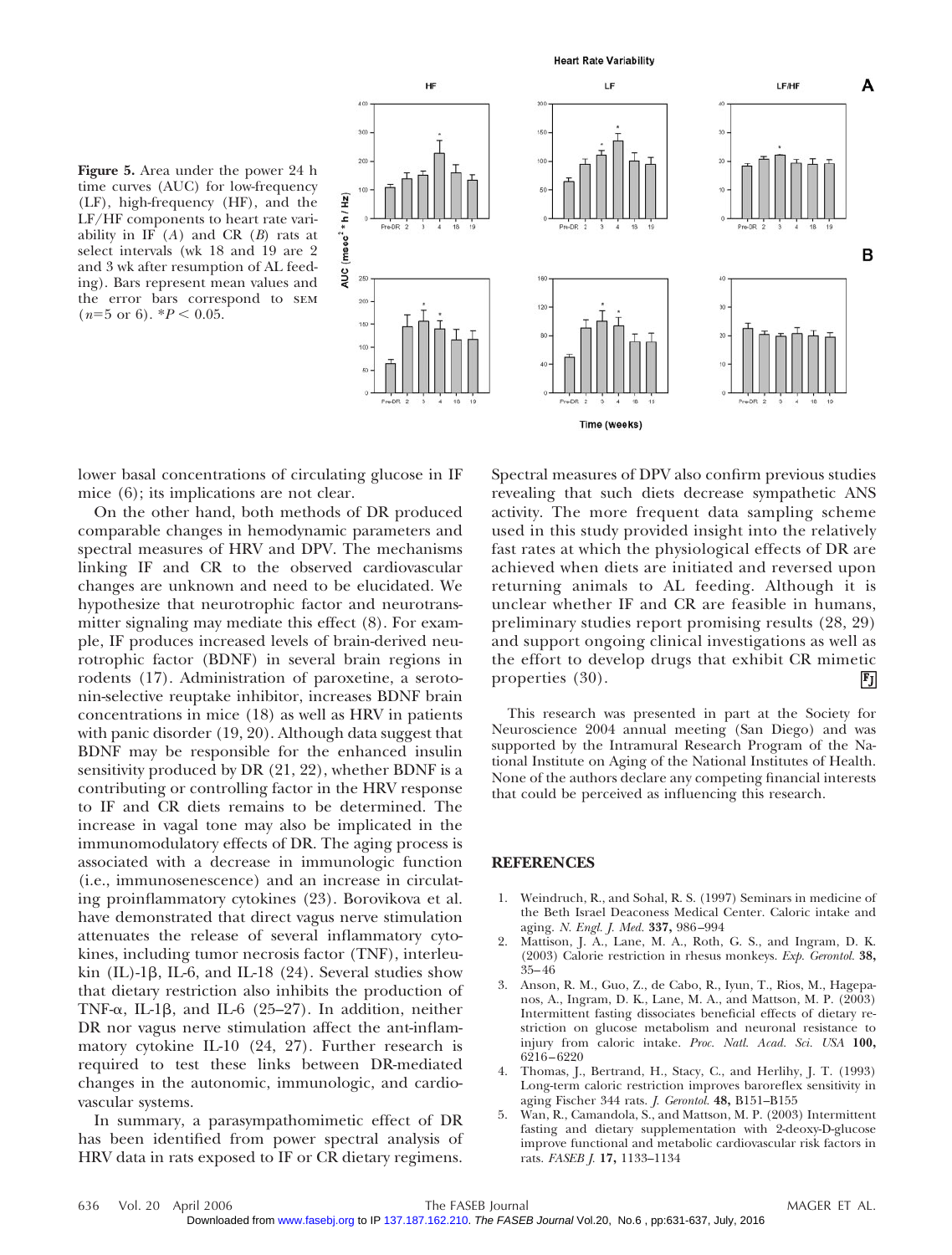

**Figure 5.** Area under the power 24 h time curves (AUC) for low-frequency (LF), high-frequency (HF), and the LF/HF components to heart rate variability in IF (*A*) and CR (*B*) rats at select intervals (wk 18 and 19 are 2 and 3 wk after resumption of AL feeding). Bars represent mean values and the error bars correspond to sem  $(n=5 \text{ or } 6)$ . \* $P < 0.05$ .

lower basal concentrations of circulating glucose in IF mice (6); its implications are not clear.

On the other hand, both methods of DR produced comparable changes in hemodynamic parameters and spectral measures of HRV and DPV. The mechanisms linking IF and CR to the observed cardiovascular changes are unknown and need to be elucidated. We hypothesize that neurotrophic factor and neurotransmitter signaling may mediate this effect (8). For example, IF produces increased levels of brain-derived neurotrophic factor (BDNF) in several brain regions in rodents (17). Administration of paroxetine, a serotonin-selective reuptake inhibitor, increases BDNF brain concentrations in mice (18) as well as HRV in patients with panic disorder (19, 20). Although data suggest that BDNF may be responsible for the enhanced insulin sensitivity produced by DR (21, 22), whether BDNF is a contributing or controlling factor in the HRV response to IF and CR diets remains to be determined. The increase in vagal tone may also be implicated in the immunomodulatory effects of DR. The aging process is associated with a decrease in immunologic function (i.e., immunosenescence) and an increase in circulating proinflammatory cytokines (23). Borovikova et al. have demonstrated that direct vagus nerve stimulation attenuates the release of several inflammatory cytokines, including tumor necrosis factor (TNF), interleukin (IL)-1 $\beta$ , IL-6, and IL-18 (24). Several studies show that dietary restriction also inhibits the production of TNF- $\alpha$ , IL-1 $\beta$ , and IL-6 (25–27). In addition, neither DR nor vagus nerve stimulation affect the ant-inflammatory cytokine IL-10 (24, 27). Further research is required to test these links between DR-mediated changes in the autonomic, immunologic, and cardiovascular systems.

In summary, a parasympathomimetic effect of DR has been identified from power spectral analysis of HRV data in rats exposed to IF or CR dietary regimens.

Spectral measures of DPV also confirm previous studies revealing that such diets decrease sympathetic ANS activity. The more frequent data sampling scheme used in this study provided insight into the relatively fast rates at which the physiological effects of DR are achieved when diets are initiated and reversed upon returning animals to AL feeding. Although it is unclear whether IF and CR are feasible in humans, preliminary studies report promising results (28, 29) and support ongoing clinical investigations as well as the effort to develop drugs that exhibit CR mimetic properties (30).  $\mathbf{F}$ 

This research was presented in part at the Society for Neuroscience 2004 annual meeting (San Diego) and was supported by the Intramural Research Program of the National Institute on Aging of the National Institutes of Health. None of the authors declare any competing financial interests that could be perceived as influencing this research.

### **REFERENCES**

- 1. Weindruch, R., and Sohal, R. S. (1997) Seminars in medicine of the Beth Israel Deaconess Medical Center. Caloric intake and aging. *N. Engl. J. Med.* **337,** 986–994
- 2. Mattison, J. A., Lane, M. A., Roth, G. S., and Ingram, D. K. (2003) Calorie restriction in rhesus monkeys. *Exp. Gerontol.* **38,** 35–46
- 3. Anson, R. M., Guo, Z., de Cabo, R., Iyun, T., Rios, M., Hagepanos, A., Ingram, D. K., Lane, M. A., and Mattson, M. P. (2003) Intermittent fasting dissociates beneficial effects of dietary restriction on glucose metabolism and neuronal resistance to injury from caloric intake. *Proc. Natl. Acad. Sci. USA* **100,** 6216–6220
- 4. Thomas, J., Bertrand, H., Stacy, C., and Herlihy, J. T. (1993) Long-term caloric restriction improves baroreflex sensitivity in aging Fischer 344 rats. *J. Gerontol.* **48,** B151–B155
- 5. Wan, R., Camandola, S., and Mattson, M. P. (2003) Intermittent fasting and dietary supplementation with 2-deoxy-D-glucose improve functional and metabolic cardiovascular risk factors in rats. *FASEB J.* **17,** 1133–1134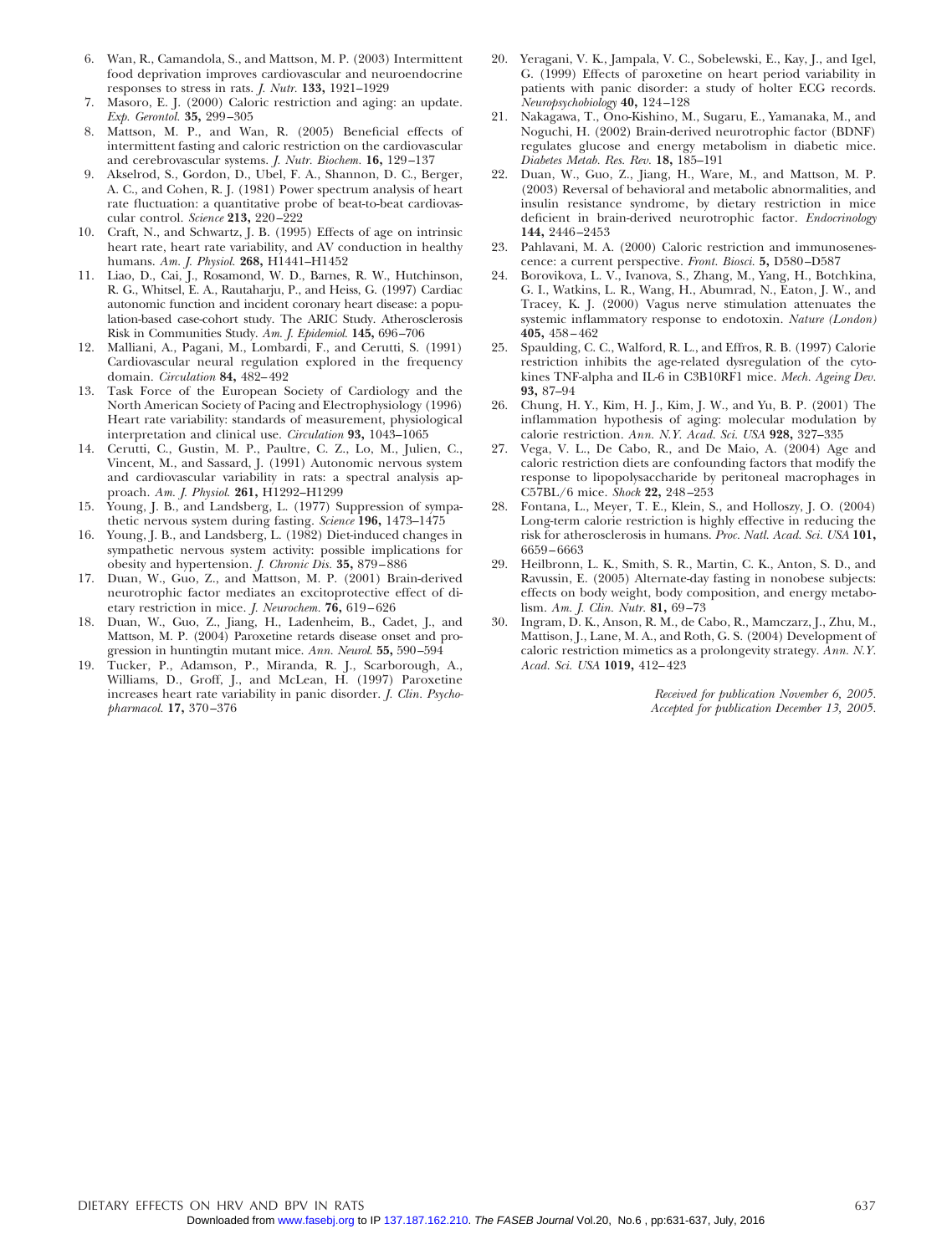- 6. Wan, R., Camandola, S., and Mattson, M. P. (2003) Intermittent food deprivation improves cardiovascular and neuroendocrine responses to stress in rats. *J. Nutr.* **133,** 1921–1929
- 7. Masoro, E. J. (2000) Caloric restriction and aging: an update. *Exp. Gerontol.* **35,** 299–305
- 8. Mattson, M. P., and Wan, R. (2005) Beneficial effects of intermittent fasting and caloric restriction on the cardiovascular and cerebrovascular systems. *J. Nutr. Biochem.* **16,** 129–137
- 9. Akselrod, S., Gordon, D., Ubel, F. A., Shannon, D. C., Berger, A. C., and Cohen, R. J. (1981) Power spectrum analysis of heart rate fluctuation: a quantitative probe of beat-to-beat cardiovascular control. *Science* **213,** 220–222
- 10. Craft, N., and Schwartz, J. B. (1995) Effects of age on intrinsic heart rate, heart rate variability, and AV conduction in healthy humans. *Am. J. Physiol.* **268,** H1441–H1452
- 11. Liao, D., Cai, J., Rosamond, W. D., Barnes, R. W., Hutchinson, R. G., Whitsel, E. A., Rautaharju, P., and Heiss, G. (1997) Cardiac autonomic function and incident coronary heart disease: a population-based case-cohort study. The ARIC Study. Atherosclerosis Risk in Communities Study. *Am. J. Epidemiol.* **145,** 696–706
- 12. Malliani, A., Pagani, M., Lombardi, F., and Cerutti, S. (1991) Cardiovascular neural regulation explored in the frequency domain. *Circulation* **84,** 482–492
- 13. Task Force of the European Society of Cardiology and the North American Society of Pacing and Electrophysiology (1996) Heart rate variability: standards of measurement, physiological interpretation and clinical use. *Circulation* **93,** 1043–1065
- 14. Cerutti, C., Gustin, M. P., Paultre, C. Z., Lo, M., Julien, C., Vincent, M., and Sassard, J. (1991) Autonomic nervous system and cardiovascular variability in rats: a spectral analysis approach. *Am. J. Physiol.* **261,** H1292–H1299
- 15. Young, J. B., and Landsberg, L. (1977) Suppression of sympathetic nervous system during fasting. *Science* **196,** 1473–1475
- 16. Young, J. B., and Landsberg, L. (1982) Diet-induced changes in sympathetic nervous system activity: possible implications for obesity and hypertension. *J. Chronic Dis.* **35,** 879–886
- 17. Duan, W., Guo, Z., and Mattson, M. P. (2001) Brain-derived neurotrophic factor mediates an excitoprotective effect of dietary restriction in mice. *J. Neurochem.* **76,** 619–626
- 18. Duan, W., Guo, Z., Jiang, H., Ladenheim, B., Cadet, J., and Mattson, M. P. (2004) Paroxetine retards disease onset and progression in huntingtin mutant mice. *Ann. Neurol.* **55,** 590–594
- 19. Tucker, P., Adamson, P., Miranda, R. J., Scarborough, A., Williams, D., Groff, J., and McLean, H. (1997) Paroxetine increases heart rate variability in panic disorder. *J. Clin. Psychopharmacol.* **17,** 370–376
- 20. Yeragani, V. K., Jampala, V. C., Sobelewski, E., Kay, J., and Igel, G. (1999) Effects of paroxetine on heart period variability in patients with panic disorder: a study of holter ECG records. *Neuropsychobiology* **40,** 124–128
- 21. Nakagawa, T., Ono-Kishino, M., Sugaru, E., Yamanaka, M., and Noguchi, H. (2002) Brain-derived neurotrophic factor (BDNF) regulates glucose and energy metabolism in diabetic mice. *Diabetes Metab. Res. Rev.* **18,** 185–191
- 22. Duan, W., Guo, Z., Jiang, H., Ware, M., and Mattson, M. P. (2003) Reversal of behavioral and metabolic abnormalities, and insulin resistance syndrome, by dietary restriction in mice deficient in brain-derived neurotrophic factor. *Endocrinology* **144,** 2446–2453
- 23. Pahlavani, M. A. (2000) Caloric restriction and immunosenescence: a current perspective. *Front. Biosci.* **5,** D580–D587
- 24. Borovikova, L. V., Ivanova, S., Zhang, M., Yang, H., Botchkina, G. I., Watkins, L. R., Wang, H., Abumrad, N., Eaton, J. W., and Tracey, K. J. (2000) Vagus nerve stimulation attenuates the systemic inflammatory response to endotoxin. *Nature (London)* **405,** 458–462
- 25. Spaulding, C. C., Walford, R. L., and Effros, R. B. (1997) Calorie restriction inhibits the age-related dysregulation of the cytokines TNF-alpha and IL-6 in C3B10RF1 mice. *Mech. Ageing Dev.* **93,** 87–94
- 26. Chung, H. Y., Kim, H. J., Kim, J. W., and Yu, B. P. (2001) The inflammation hypothesis of aging: molecular modulation by calorie restriction. *Ann. N.Y. Acad. Sci. USA* **928,** 327–335
- 27. Vega, V. L., De Cabo, R., and De Maio, A. (2004) Age and caloric restriction diets are confounding factors that modify the response to lipopolysaccharide by peritoneal macrophages in C57BL/6 mice. *Shock* **22,** 248–253
- 28. Fontana, L., Meyer, T. E., Klein, S., and Holloszy, J. O. (2004) Long-term calorie restriction is highly effective in reducing the risk for atherosclerosis in humans. *Proc. Natl. Acad. Sci. USA* **101,** 6659–6663
- 29. Heilbronn, L. K., Smith, S. R., Martin, C. K., Anton, S. D., and Ravussin, E. (2005) Alternate-day fasting in nonobese subjects: effects on body weight, body composition, and energy metabolism. *Am. J. Clin. Nutr.* **81,** 69–73
- 30. Ingram, D. K., Anson, R. M., de Cabo, R., Mamczarz, J., Zhu, M., Mattison, J., Lane, M. A., and Roth, G. S. (2004) Development of caloric restriction mimetics as a prolongevity strategy. *Ann. N.Y. Acad. Sci. USA* **1019,** 412–423

*Received for publication November 6, 2005. Accepted for publication December 13, 2005.*